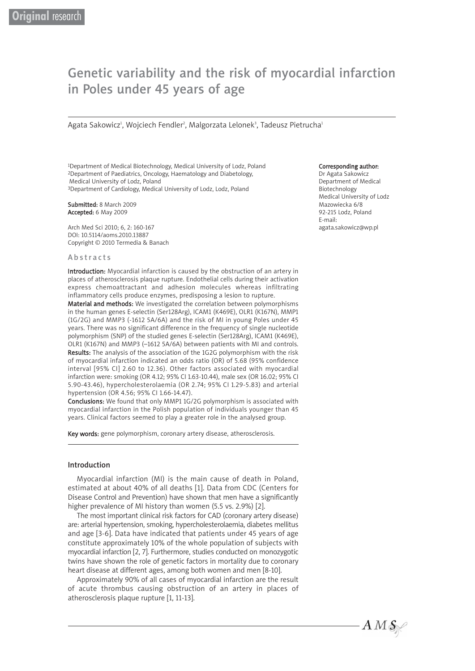# Genetic variability and the risk of myocardial infarction in Poles under 45 years of age

Agata Sakowicz<del>'</del>, Wojciech Fendler<sup>2</sup>, Malgorzata Lelonek<sup>3</sup>, Tadeusz Pietrucha<del>'</del>

1Department of Medical Biotechnology, Medical University of Lodz, Poland 2Department of Paediatrics, Oncology, Haematology and Diabetology, Medical University of Lodz, Poland <sup>3</sup>Department of Cardiology, Medical University of Lodz, Lodz, Poland

Submitted: 8 March 2009 Accepted: 6 May 2009

Arch Med Sci 2010; 6, 2: 160-167 DOI: 10.5114/aoms.2010.13887 Copyright © 2010 Termedia & Banach

### Abstracts

Introduction: Myocardial infarction is caused by the obstruction of an artery in places of atherosclerosis plaque rupture. Endothelial cells during their activation express chemoattractant and adhesion molecules whereas infiltrating inflammatory cells produce enzymes, predisposing a lesion to rupture.

Material and methods: We investigated the correlation between polymorphisms in the human genes E-selectin (Ser128Arg), ICAM1 (K469E), OLR1 (K167N), MMP1 (1G/2G) and MMP3 (-1612 5A/6A) and the risk of MI in young Poles under 45 years. There was no significant difference in the frequency of single nucleotide polymorphism (SNP) of the studied genes E-selectin (Ser128Arg), ICAM1 (K469E), OLR1 (K167N) and MMP3 (–1612 5A/6A) between patients with MI and controls. Results: The analysis of the association of the 1G2G polymorphism with the risk of myocardial infarction indicated an odds ratio (OR) of 5.68 (95% confidence interval [95% CI] 2.60 to 12.36). Other factors associated with myocardial infarction were: smoking (OR 4.12; 95% CI 1.63-10.44), male sex (OR 16.02; 95% CI 5.90-43.46), hypercholesterolaemia (OR 2.74; 95% CI 1.29-5.83) and arterial hypertension (OR 4.56; 95% CI 1.66-14.47).

Conclusions: We found that only MMP1 1G/2G polymorphism is associated with myocardial infarction in the Polish population of individuals younger than 45 years. Clinical factors seemed to play a greater role in the analysed group.

Key words: gene polymorphism, coronary artery disease, atherosclerosis.

# Introduction

Myocardial infarction (MI) is the main cause of death in Poland, estimated at about 40% of all deaths [1]. Data from CDC (Centers for Disease Control and Prevention) have shown that men have a significantly higher prevalence of MI history than women (5.5 vs. 2.9%) [2].

The most important clinical risk factors for CAD (coronary artery disease) are: arterial hypertension, smoking, hypercholesterolaemia, diabetes mellitus and age [3-6]. Data have indicated that patients under 45 years of age constitute approximately 10% of the whole population of subjects with myocardial infarction [2, 7]. Furthermore, studies conducted on monozygotic twins have shown the role of genetic factors in mortality due to coronary heart disease at different ages, among both women and men [8-10].

Approximately 90% of all cases of myocardial infarction are the result of acute thrombus causing obstruction of an artery in places of atherosclerosis plaque rupture [1, 11-13].

#### Corresponding author:

Dr Agata Sakowicz Department of Medical Biotechnology Medical University of Lodz Mazowiecka 6/8 92-215 Lodz, Poland E-mail: agata.sakowicz@wp.pl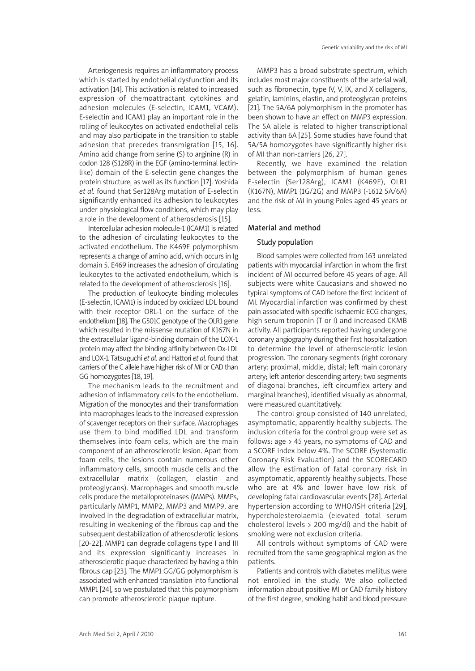Arteriogenesis requires an inflammatory process which is started by endothelial dysfunction and its activation [14]. This activation is related to increased expression of chemoattractant cytokines and adhesion molecules (E-selectin, ICAM1, VCAM). E-selectin and ICAM1 play an important role in the rolling of leukocytes on activated endothelial cells and may also participate in the transition to stable adhesion that precedes transmigration [15, 16]. Amino acid change from serine (S) to arginine (R) in codon 128 (S128R) in the EGF (amino-terminal lectinlike) domain of the E-selectin gene changes the protein structure, as well as its function [17]. Yoshida *et al.* found that Ser128Arg mutation of E-selectin significantly enhanced its adhesion to leukocytes under physiological flow conditions, which may play a role in the development of atherosclerosis [15].

Intercellular adhesion molecule-1 (ICAM1) is related to the adhesion of circulating leukocytes to the activated endothelium. The K469E polymorphism represents a change of amino acid, which occurs in Ig domain 5. E469 increases the adhesion of circulating leukocytes to the activated endothelium, which is related to the development of atherosclerosis [16].

The production of leukocyte binding molecules (E-selectin, ICAM1) is induced by oxidized LDL bound with their receptor ORL-1 on the surface of the endothelium [18]. The G501C genotype of the OLR1 gene which resulted in the missense mutation of K167N in the extracellular ligand-binding domain of the LOX-1 protein may affect the binding affinity between Ox-LDL and LOX-1. Tatsuguchi *et al*. and Hattori *et al.* found that carriers of the C allele have higher risk of MI or CAD than GG homozygotes [18, 19].

The mechanism leads to the recruitment and adhesion of inflammatory cells to the endothelium. Migration of the monocytes and their transformation into macrophages leads to the increased expression of scavenger receptors on their surface. Macrophages use them to bind modified LDL and transform themselves into foam cells, which are the main component of an atherosclerotic lesion. Apart from foam cells, the lesions contain numerous other inflammatory cells, smooth muscle cells and the extracellular matrix (collagen, elastin and proteoglycans). Macrophages and smooth muscle cells produce the metalloproteinases (MMPs). MMPs, particularly MMP1, MMP2, MMP3 and MMP9, are involved in the degradation of extracellular matrix, resulting in weakening of the fibrous cap and the subsequent destabilization of atherosclerotic lesions [20-22]. MMP1 can degrade collagens type I and III and its expression significantly increases in atherosclerotic plaque characterized by having a thin fibrous cap [23]. The MMP1 GG/GG polymorphism is associated with enhanced translation into functional MMP1 [24], so we postulated that this polymorphism can promote atherosclerotic plaque rupture.

MMP3 has a broad substrate spectrum, which includes most major constituents of the arterial wall, such as fibronectin, type IV, V, IX, and X collagens, gelatin, laminins, elastin, and proteoglycan proteins [21]. The 5A/6A polymorphism in the promoter has been shown to have an effect on MMP3 expression. The 5A allele is related to higher transcriptional activity than 6A [25]. Some studies have found that 5A/5A homozygotes have significantly higher risk of MI than non-carriers [26, 27].

Recently, we have examined the relation between the polymorphism of human genes E-selectin (Ser128Arg), ICAM1 (K469E), OLR1 (K167N), MMP1 (1G/2G) and MMP3 (-1612 5A/6A) and the risk of MI in young Poles aged 45 years or less.

#### Material and method

## Study population

Blood samples were collected from 163 unrelated patients with myocardial infarction in whom the first incident of MI occurred before 45 years of age. All subjects were white Caucasians and showed no typical symptoms of CAD before the first incident of MI. Myocardial infarction was confirmed by chest pain associated with specific ischaemic ECG changes, high serum troponin (T or I) and increased CKMB activity. All participants reported having undergone coronary angiography during their first hospitalization to determine the level of atherosclerotic lesion progression. The coronary segments (right coronary artery: proximal, middle, distal; left main coronary artery; left anterior descending artery; two segments of diagonal branches, left circumflex artery and marginal branches), identified visually as abnormal, were measured quantitatively.

The control group consisted of 140 unrelated, asymptomatic, apparently healthy subjects. The inclusion criteria for the control group were set as follows: age > 45 years, no symptoms of CAD and a SCORE index below 4%. The SCORE (Systematic Coronary Risk Evaluation) and the SCORECARD allow the estimation of fatal coronary risk in asymptomatic, apparently healthy subjects. Those who are at 4% and lower have low risk of developing fatal cardiovascular events [28]. Arterial hypertension according to WHO/ISH criteria [29], hypercholesterolaemia (elevated total serum cholesterol levels > 200 mg/dl) and the habit of smoking were not exclusion criteria.

All controls without symptoms of CAD were recruited from the same geographical region as the patients.

Patients and controls with diabetes mellitus were not enrolled in the study. We also collected information about positive MI or CAD family history of the first degree, smoking habit and blood pressure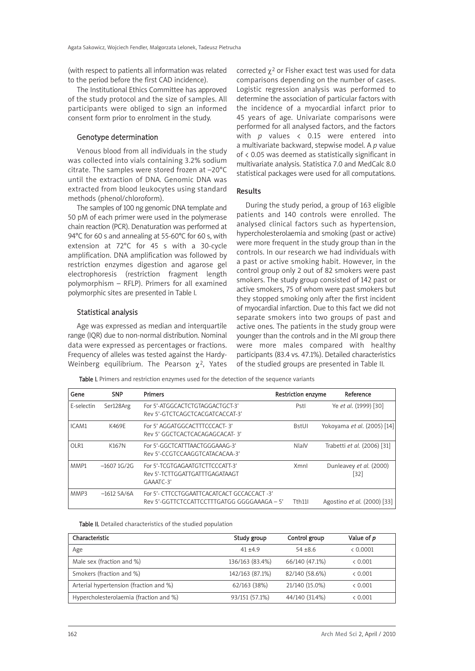(with respect to patients all information was related to the period before the first CAD incidence).

The Institutional Ethics Committee has approved of the study protocol and the size of samples. All participants were obliged to sign an informed consent form prior to enrolment in the study.

## Genotype determination

Venous blood from all individuals in the study was collected into vials containing 3.2% sodium citrate. The samples were stored frozen at –20°C until the extraction of DNA. Genomic DNA was extracted from blood leukocytes using standard methods (phenol/chloroform).

The samples of 100 ng genomic DNA template and 50 pM of each primer were used in the polymerase chain reaction (PCR). Denaturation was performed at 94°C for 60 s and annealing at 55-60°C for 60 s, with extension at 72°C for 45 s with a 30-cycle amplification. DNA amplification was followed by restriction enzymes digestion and agarose gel electrophoresis (restriction fragment length polymorphism – RFLP). Primers for all examined polymorphic sites are presented in Table I.

# Statistical analysis

Age was expressed as median and interquartile range (IQR) due to non-normal distribution. Nominal data were expressed as percentages or fractions. Frequency of alleles was tested against the Hardy-Weinberg equilibrium. The Pearson  $\chi^2$ , Yates corrected  $\chi^2$  or Fisher exact test was used for data comparisons depending on the number of cases. Logistic regression analysis was performed to determine the association of particular factors with the incidence of a myocardial infarct prior to 45 years of age. Univariate comparisons were performed for all analysed factors, and the factors with *p* values < 0.15 were entered into a multivariate backward, stepwise model. A *p* value of < 0.05 was deemed as statistically significant in multivariate analysis. Statistica 7.0 and MedCalc 8.0 statistical packages were used for all computations.

### Results

During the study period, a group of 163 eligible patients and 140 controls were enrolled. The analysed clinical factors such as hypertension, hypercholesterolaemia and smoking (past or active) were more frequent in the study group than in the controls. In our research we had individuals with a past or active smoking habit. However, in the control group only 2 out of 82 smokers were past smokers. The study group consisted of 142 past or active smokers, 75 of whom were past smokers but they stopped smoking only after the first incident of myocardial infarction. Due to this fact we did not separate smokers into two groups of past and active ones. The patients in the study group were younger than the controls and in the MI group there were more males compared with healthy participants (83.4 vs. 47.1%). Detailed characteristics of the studied groups are presented in Table II.

Table I. Primers and restriction enzymes used for the detection of the sequence variants

| Gene       | <b>SNP</b>    | <b>Primers</b>                                                                             | <b>Restriction enzyme</b> | Reference                      |
|------------|---------------|--------------------------------------------------------------------------------------------|---------------------------|--------------------------------|
| E-selectin | Ser128Arg     | For 5'-ATGGCACTCTGTAGGACTGCT-3'<br>Rev 5'-GTCTCAGCTCACGATCACCAT-3'                         | Pstl                      | Ye et al. (1999) [30]          |
| ICAM1      | K469E         | For 5' AGGATGGCACTTTCCCACT-3'<br>Rev 5' GGCTCACTCACAGAGCACAT-3'                            | <b>BstUI</b>              | Yokoyama et al. (2005) [14]    |
| OLR1       | K167N         | For 5'-GGCTCATTTAACTGGGAAAG-3'<br>Rev 5'-CCGTCCAAGGTCATACACAA-3'                           | NlaIV                     | Trabetti et al. (2006) [31]    |
| MMP1       | $-16071$ G/2G | For 5'-TCGTGAGAATGTCTTCCCATT-3'<br>Rev 5'-TCTTGGATTGATTTGAGATAAGT<br>GAAATC-3'             | Xmnl                      | Dunleavey et al. (2000)<br> 32 |
| MMP3       | $-1612$ 5A/6A | For 5'- CTTCCTGGAATTCACATCACT GCCACCACT -3'<br>Rev 5'-GGTTCTCCATTCCTTTGATGG GGGGAAAGA – 5' | Tth <sub>11</sub>         | Agostino et al. (2000) [33]    |

Table II. Detailed characteristics of the studied population

| Characteristic                         | Study group     | Control group  | Value of p |
|----------------------------------------|-----------------|----------------|------------|
| Age                                    | $41 + 49$       | $54 + 8.6$     | < 0.0001   |
| Male sex (fraction and %)              | 136/163 (83.4%) | 66/140 (47.1%) | < 0.001    |
| Smokers (fraction and %)               | 142/163 (87.1%) | 82/140 (58.6%) | < 0.001    |
| Arterial hypertension (fraction and %) | 62/163 (38%)    | 21/140 (15.0%) | < 0.001    |
| Hypercholesterolaemia (fraction and %) | 93/151 (57.1%)  | 44/140 (31.4%) | & 0.001    |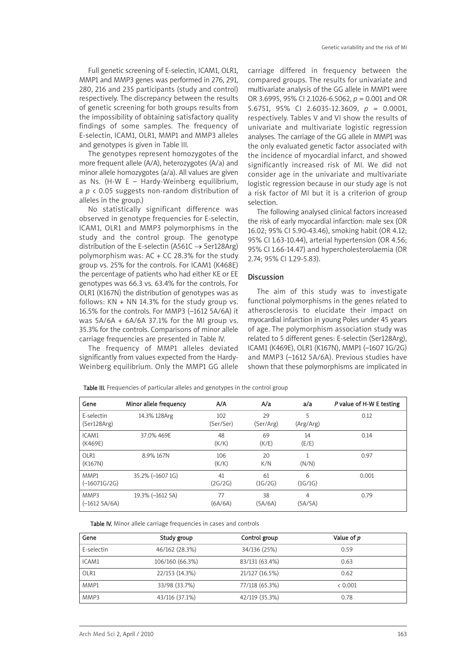Full genetic screening of E-selectin, ICAM1, OLR1, MMP1 and MMP3 genes was performed in 276, 291, 280, 216 and 235 participants (study and control) respectively. The discrepancy between the results of genetic screening for both groups results from the impossibility of obtaining satisfactory quality findings of some samples. The frequency of E-selectin, ICAM1, OLR1, MMP1 and MMP3 alleles and genotypes is given in Table III.

The genotypes represent homozygotes of the more frequent allele (A/A), heterozygotes (A/a) and minor allele homozygotes (a/a). All values are given as Ns. (H-W E – Hardy-Weinberg equilibrium, a *p* < 0.05 suggests non-random distribution of alleles in the group.)

No statistically significant difference was observed in genotype frequencies for E-selectin, ICAM1, OLR1 and MMP3 polymorphisms in the study and the control group. The genotype distribution of the E-selectin (A561C  $\rightarrow$  Ser128Arg) polymorphism was:  $AC + CC$  28.3% for the study group vs. 25% for the controls. For ICAM1 (K468E) the percentage of patients who had either KE or EE genotypes was 66.3 vs. 63.4% for the controls. For OLR1 (K167N) the distribution of genotypes was as follows:  $KN + NN$  14.3% for the study group vs. 16.5% for the controls. For MMP3 (–1612 5A/6A) it was  $5A/6A + 6A/6A$  37.1% for the MI group vs. 35.3% for the controls. Comparisons of minor allele carriage frequencies are presented in Table IV.

The frequency of MMP1 alleles deviated significantly from values expected from the Hardy-Weinberg equilibrium. Only the MMP1 GG allele carriage differed in frequency between the compared groups. The results for univariate and multivariate analysis of the GG allele in MMP1 were OR 3.6995, 95% CI 2.1026-6.5062, *p* = 0.001 and OR 5.6751, 95% CI 2.6035-12.3609, *p* = 0.0001, respectively. Tables V and VI show the results of univariate and multivariate logistic regression analyses. The carriage of the GG allele in MMP1 was the only evaluated genetic factor associated with the incidence of myocardial infarct, and showed significantly increased risk of MI. We did not consider age in the univariate and multivariate logistic regression because in our study age is not a risk factor of MI but it is a criterion of group selection.

The following analysed clinical factors increased the risk of early myocardial infarction: male sex (OR 16.02; 95% CI 5.90-43.46), smoking habit (OR 4.12; 95% CI 1.63-10.44), arterial hypertension (OR 4.56; 95% CI 1.66-14.47) and hypercholesterolaemia (OR 2.74; 95% CI 1.29-5.83).

## Discussion

The aim of this study was to investigate functional polymorphisms in the genes related to atherosclerosis to elucidate their impact on myocardial infarction in young Poles under 45 years of age. The polymorphism association study was related to 5 different genes: E-selectin (Ser128Arg), ICAM1 (K469E), OLR1 (K167N), MMP1 (–1607 1G/2G) and MMP3 (–1612 5A/6A). Previous studies have shown that these polymorphisms are implicated in

| Gene                      | Minor allele frequency | A/A              | A/a             | a/a            | P value of H-W E testing |
|---------------------------|------------------------|------------------|-----------------|----------------|--------------------------|
| E-selectin<br>(Ser128Arg) | 14.3% 128Arg           | 102<br>(Ser/Ser) | 29<br>(Ser/Arg) | 5<br>(Arg/Arg) | 0.12                     |
| ICAM1<br>(K469E)          | 37.0% 469E             | 48<br>(K/K)      | 69<br>(K/E)     | 14<br>(E/E)    | 0.14                     |
| OLR1<br>(K167N)           | 8.9% 167N              | 106<br>(K/K)     | 20<br>K/N       | (N/N)          | 0.97                     |
| MMP1<br>$(-16071G/2G)$    | 35.2% (-1607 1G)       | 41<br>(2G/2G)    | 61<br>(1G/2G)   | 6<br>(1G/1G)   | 0.001                    |
| MMP3<br>$(-1612 5A/6A)$   | 19.3% (-1612 5A)       | 77<br>(6A/6A)    | 38<br>(5A/6A)   | 4<br>(5A/5A)   | 0.79                     |

Table III. Frequencies of particular alleles and genotypes in the control group

Table IV. Minor allele carriage frequencies in cases and controls

| Gene       | Study group     | Control group  | Value of p |  |
|------------|-----------------|----------------|------------|--|
| E-selectin | 46/162 (28.3%)  | 34/136 (25%)   | 0.59       |  |
| ICAM1      | 106/160 (66.3%) | 83/131 (63.4%) | 0.63       |  |
| OLR1       | 22/153 (14.3%)  | 21/127 (16.5%) | 0.62       |  |
| MMP1       | 33/98 (33.7%)   | 77/118 (65.3%) | < 0.001    |  |
| MMP3       | 43/116 (37.1%)  | 42/119 (35.3%) | 0.78       |  |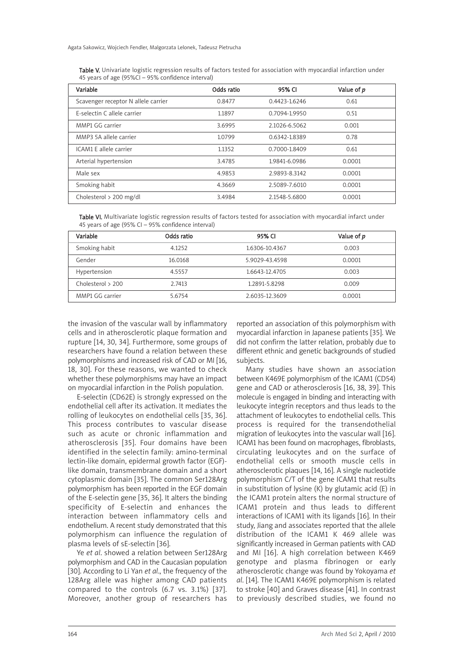| <b>Table V.</b> Univariate logistic regression results of factors tested for association with myocardial infarction under |  |
|---------------------------------------------------------------------------------------------------------------------------|--|
| 45 years of age (95%CI – 95% confidence interval)                                                                         |  |

| Variable                            | Odds ratio | 95% CI        | Value of p |
|-------------------------------------|------------|---------------|------------|
| Scavenger receptor N allele carrier | 0.8477     | 0.4423-1.6246 | 0.61       |
| E-selectin C allele carrier         | 1.1897     | 0.7094-1.9950 | 0.51       |
| MMP1 GG carrier                     | 3.6995     | 2.1026-6.5062 | 0.001      |
| MMP3 5A allele carrier              | 1.0799     | 0.6342-1.8389 | 0.78       |
| ICAM1 E allele carrier              | 1.1352     | 0.7000-1.8409 | 0.61       |
| Arterial hypertension               | 3.4785     | 1.9841-6.0986 | 0.0001     |
| Male sex                            | 4.9853     | 2.9893-8.3142 | 0.0001     |
| Smoking habit                       | 4.3669     | 2.5089-7.6010 | 0.0001     |
| Cholesterol > 200 mg/dl             | 3.4984     | 2.1548-5.6800 | 0.0001     |

Table VI. Multivariate logistic regression results of factors tested for association with myocardial infarct under 45 years of age (95% CI – 95% confidence interval)

| Variable            | Odds ratio | 95% CI         | Value of p |
|---------------------|------------|----------------|------------|
| Smoking habit       | 4.1252     | 1.6306-10.4367 | 0.003      |
| Gender              | 16.0168    | 5.9029-43.4598 | 0.0001     |
| Hypertension        | 4.5557     | 1.6643-12.4705 | 0.003      |
| Cholesterol $> 200$ | 2.7413     | 1.2891-5.8298  | 0.009      |
| MMP1 GG carrier     | 5.6754     | 2.6035-12.3609 | 0.0001     |

the invasion of the vascular wall by inflammatory cells and in atherosclerotic plaque formation and rupture [14, 30, 34]. Furthermore, some groups of researchers have found a relation between these polymorphisms and increased risk of CAD or MI [16, 18, 30]. For these reasons, we wanted to check whether these polymorphisms may have an impact on myocardial infarction in the Polish population.

E-selectin (CD62E) is strongly expressed on the endothelial cell after its activation. It mediates the rolling of leukocytes on endothelial cells [35, 36]. This process contributes to vascular disease such as acute or chronic inflammation and atherosclerosis [35]. Four domains have been identified in the selectin family: amino-terminal lectin-like domain, epidermal growth factor (EGF) like domain, transmembrane domain and a short cytoplasmic domain [35]. The common Ser128Arg polymorphism has been reported in the EGF domain of the E-selectin gene [35, 36]. It alters the binding specificity of E-selectin and enhances the interaction between inflammatory cells and endothelium. A recent study demonstrated that this polymorphism can influence the regulation of plasma levels of sE-selectin [36].

Ye *et al*. showed a relation between Ser128Arg polymorphism and CAD in the Caucasian population [30]. According to Li Yan *et al*., the frequency of the 128Arg allele was higher among CAD patients compared to the controls (6.7 vs. 3.1%) [37]. Moreover, another group of researchers has

reported an association of this polymorphism with myocardial infarction in Japanese patients [35]. We did not confirm the latter relation, probably due to different ethnic and genetic backgrounds of studied subjects.

Many studies have shown an association between K469E polymorphism of the ICAM1 (CD54) gene and CAD or atherosclerosis [16, 38, 39]. This molecule is engaged in binding and interacting with leukocyte integrin receptors and thus leads to the attachment of leukocytes to endothelial cells. This process is required for the transendothelial migration of leukocytes into the vascular wall [16]. ICAM1 has been found on macrophages, fibroblasts, circulating leukocytes and on the surface of endothelial cells or smooth muscle cells in atherosclerotic plaques [14, 16]. A single nucleotide polymorphism C/T of the gene ICAM1 that results in substitution of lysine  $(K)$  by glutamic acid  $(E)$  in the ICAM1 protein alters the normal structure of ICAM1 protein and thus leads to different interactions of ICAM1 with its ligands [16]. In their study, Jiang and associates reported that the allele distribution of the ICAM1 K 469 allele was significantly increased in German patients with CAD and MI [16]. A high correlation between K469 genotype and plasma fibrinogen or early atherosclerotic change was found by Yokoyama *et al*. [14]. The ICAM1 K469E polymorphism is related to stroke [40] and Graves disease [41]. In contrast to previously described studies, we found no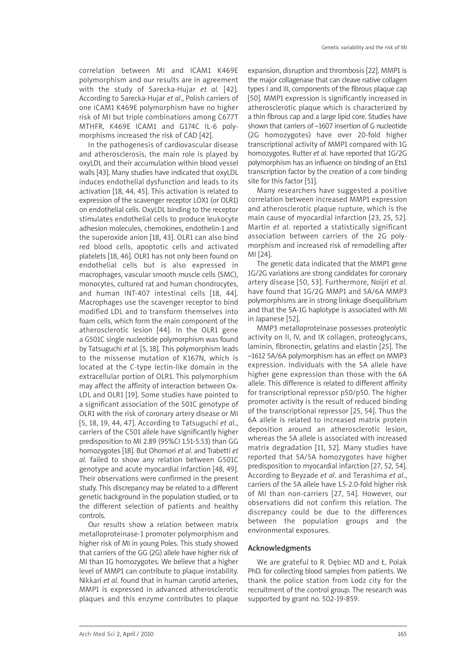correlation between MI and ICAM1 K469E polymorphism and our results are in agreement with the study of Sarecka-Hujar *et al.* [42]. According to Sarecka-Hujar *et al*., Polish carriers of one ICAM1 K469E polymorphism have no higher risk of MI but triple combinations among C677T MTHFR, K469E ICAM1 and G174C IL-6 polymorphisms increased the risk of CAD [42].

In the pathogenesis of cardiovascular disease and atherosclerosis, the main role is played by oxyLDL and their accumulation within blood vessel walls [43]. Many studies have indicated that oxyl DL induces endothelial dysfunction and leads to its activation [18, 44, 45]. This activation is related to expression of the scavenger receptor LOX1 (or OLR1) on endothelial cells. OxyLDL binding to the receptor stimulates endothelial cells to produce leukocyte adhesion molecules, chemokines, endothelin-1 and the superoxide anion [18, 43]. OLR1 can also bind red blood cells, apoptotic cells and activated platelets [18, 46]. OLR1 has not only been found on endothelial cells but is also expressed in macrophages, vascular smooth muscle cells (SMC), monocytes, cultured rat and human chondrocytes, and human INT-407 intestinal cells [18, 44]. Macrophages use the scavenger receptor to bind modified LDL and to transform themselves into foam cells, which form the main component of the atherosclerotic lesion [44]. In the OLR1 gene a G501C single nucleotide polymorphism was found by Tatsuguchi *et al.* [5, 18]. This polymorphism leads to the missense mutation of K167N, which is located at the C-type lectin-like domain in the extracellular portion of OLR1. This polymorphism may affect the affinity of interaction between Ox-LDL and OLR1 [19]. Some studies have pointed to a significant association of the 501C genotype of OLR1 with the risk of coronary artery disease or MI [5, 18, 19, 44, 47]. According to Tatsuguchi *et a*l., carriers of the C501 allele have significantly higher predisposition to MI 2.89 (95%CI 1.51-5.53) than GG homozygotes [18]. But Ohomori *et al*. and Trabetti *et al.* failed to show any relation between G501C genotype and acute myocardial infarction [48, 49]. Their observations were confirmed in the present study. This discrepancy may be related to a different genetic background in the population studied, or to the different selection of patients and healthy controls.

Our results show a relation between matrix metalloproteinase-1 promoter polymorphism and higher risk of MI in young Poles. This study showed that carriers of the GG (2G) allele have higher risk of MI than 1G homozygotes. We believe that a higher level of MMP1 can contribute to plaque instability. Nikkari *et al*. found that in human carotid arteries, MMP1 is expressed in advanced atherosclerotic plaques and this enzyme contributes to plaque

expansion, disruption and thrombosis [22]. MMP1 is the major collagenase that can cleave native collagen types I and III, components of the fibrous plaque cap [50]. MMP1 expression is significantly increased in atherosclerotic plaque which is characterized by a thin fibrous cap and a large lipid core. Studies have shown that carriers of –1607 insertion of G nucleotide (2G homozygotes) have over 20-fold higher transcriptional activity of MMP1 compared with 1G homozygotes. Rutter *et al.* have reported that 1G/2G polymorphism has an influence on binding of an Ets1 transcription factor by the creation of a core binding site for this factor [51].

Many researchers have suggested a positive correlation between increased MMP1 expression and atherosclerotic plaque rupture, which is the main cause of myocardial infarction [23, 25, 52]. Martin *et al*. reported a statistically significant association between carriers of the 2G polymorphism and increased risk of remodelling after MI [24].

The genetic data indicated that the MMP1 gene 1G/2G variations are strong candidates for coronary artery disease [50, 53]. Furthermore, Noijri *et al*. have found that 1G/2G MMP1 and 5A/6A MMP3 polymorphisms are in strong linkage disequilibrium and that the 5A-1G haplotype is associated with MI in Japanese [52].

MMP3 metalloproteinase possesses proteolytic activity on II, IV, and IX collagen, proteoglycans, laminin, fibronectin, gelatins and elastin [25]. The –1612 5A/6A polymorphism has an effect on MMP3 expression. Individuals with the 5A allele have higher gene expression than those with the 6A allele. This difference is related to different affinity for transcriptional repressor p50/p50. The higher promoter activity is the result of reduced binding of the transcriptional repressor [25, 54]. Thus the 6A allele is related to increased matrix protein deposition around an atherosclerotic lesion, whereas the 5A allele is associated with increased matrix degradation [11, 52]. Many studies have reported that 5A/5A homozygotes have higher predisposition to myocardial infarction [27, 52, 54]. According to Beyzade *et al*. and Terashima *et al*., carriers of the 5A allele have 1.5-2.0-fold higher risk of MI than non-carriers [27, 54]. However, our observations did not confirm this relation. The discrepancy could be due to the differences between the population groups and the environmental exposures.

## Acknowledgments

We are grateful to R. Dębiec MD and Ł. Polak PhD. for collecting blood samples from patients. We thank the police station from Lodz city for the recruitment of the control group. The research was supported by grant no. 502-19-859.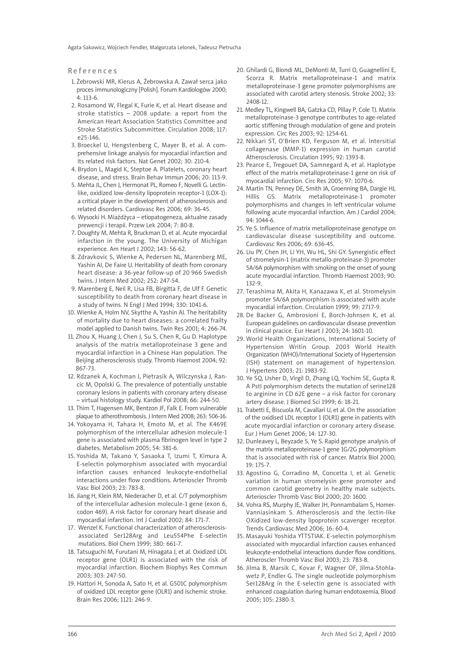Agata Sakowicz, Wojciech Fendler, Malgorzata Lelonek, Tadeusz Pietrucha

References

- 1. Żebrowski MR, Kierus A, Żebrowska A. Zawał serca jako proces immunologiczny [Polish]. Forum Kardiologów 2000; 4: 113-6.
- 2. Rosamond W, Flegal K, Furie K, et al. Heart disease and stroke statistics – 2008 update: a report from the American Heart Association Statistics Committee and Stroke Statistics Subcommittee. Circulation 2008; 117: e25-146.
- 3. Broeckel U, Hengstenberg C, Mayer B, et al. A comprehensive linkage analysis for myocardial infarction and its related risk factors. Nat Genet 2002; 30: 210-4.
- 4. Brydon L, Magid K, Steptoe A. Platelets, coronary heart disease, and stress. Brain Behav Immun 2006; 20: 113-9.
- 5. Mehta JL, Chen J, Hermonat PL, Romeo F, Novelli G. Lectinlike, oxidized low-density lipoprotein receptor-1 (LOX-1): a critical player in the development of atherosclerosis and related disorders. Cardiovasc Res 2006; 69: 36-45.
- 6. Wysocki H. Miażdżyca etiopatogeneza, aktualne zasady prewencji i terapii. Przew Lek 2004; 7: 80-8.
- 7. Doughty M, Mehta R, Bruckman D, et al. Acute myocardial infarction in the young. The University of Michigan experience. Am Heart J 2002; 143: 56-62.
- 8. Zdravkovic S, Wienke A, Pedersen NL, Marenberg ME, Yashin AI, De Faire U. Heritability of death from coronary heart disease: a 36-year follow-up of 20 966 Swedish twins. J Intern Med 2002; 252: 247-54.
- 9. Marenberg E, Neil R, Lisa FB, Birgitta F, de Ulf F. Genetic susceptibility to death from coronary heart disease in a study of twins. N Engl J Med 1994; 330: 1041-6.
- 10. Wienke A, Holm NV, Skytthe A, Yashin AI. The heritability of mortality due to heart diseases: a correlated frailty model applied to Danish twins. Twin Res 2001; 4: 266-74.
- 11. Zhou X, Huang J, Chen J, Su S, Chen R, Gu D. Haplotype analysis of the matrix metalloproteinase 3 gene and myocardial infarction in a Chinese Han population. The Beijing atherosclerosis study. Thromb Haemost 2004; 92: 867-73.
- 12. Rdzanek A, Kochman J, Pietrasik A, Wilczynska J, Rancic M, Opolski G. The prevalence of potentially unstable coronary lesions in patients with coronary artery disease – virtual histology study. Kardiol Pol 2008; 66: 244-50.
- 13. Thim T, Hagensen MK, Bentzon JF, Falk E. From vulnerable plaque to atherothrombosis. J Intern Med 2008; 263: 506-16.
- 14. Yokoyama H, Tahara H, Emoto M, et al. The K469E polymorphism of the intercellular adhesion molecule-1 gene is associated with plasma fibrinogen level in type 2 diabetes. Metabolism 2005; 54: 381-6.
- 15. Yoshida M, Takano Y, Sasaoka T, Izumi T, Kimura A. E-selectin polymorphism associated with myocardial infarction causes enhanced leukocyte-endothelial interactions under flow conditions. Arterioscler Thromb Vasc Biol 2003; 23: 783-8.
- 16. Jiang H, Klein RM, Niederacher D, et al. C/T polymorphism of the intercellular adhesion molecule-1 gene (exon 6, codon 469). A risk factor for coronary heart disease and myocardial infarction. Int J Cardiol 2002; 84: 171-7.
- 17. Wenzel K. Functional characterization of atherosclerosisassociated Ser128Arg and Leu554Phe E-selectin mutations. Biol Chem 1999; 380: 661-7.
- 18. Tatsuguchi M, Furutani M, Hinagata J, et al. Oxidized LDL receptor gene (OLR1) is associated with the risk of myocardial infarction. Biochem Biophys Res Commun 2003; 303: 247-50.
- 19. Hattori H, Sonoda A, Sato H, et al. G501C polymorphism of oxidized LDL receptor gene (OLR1) and ischemic stroke. Brain Res 2006; 1121: 246-9.
- 20. Ghilardi G, Biondi ML, DeMonti M, Turri O, Guagnellini E, Scorza R. Matrix metalloproteinase-1 and matrix metalloproteinase-3 gene promoter polymorphisms are associated with carotid artery stenosis. Stroke 2002; 33: 2408-12.
- 21. Medley TL, Kingwell BA, Gatzka CD, Pillay P, Cole TJ. Matrix metalloproteinase-3 genotype contributes to age-related aortic stiffening through modulation of gene and protein expression. Circ Res 2003; 92: 1254-61.
- 22. Nikkari ST, O'Brien KD, Ferguson M, et al. Intersitial collagenase (MMP-1) expression in human carotid Atherosclerosis. Circulation 1995; 92: 1393-8.
- 23. Pearce E, Tregouet DA, Samnegard A, et al. Haplotype effect of the matrix metalloproteinase-1 gene on risk of myocardial infarction. Circ Res 2005; 97: 1070-6.
- 24. Martin TN, Penney DE, Smith JA, Groenning BA, Dargie HJ, Hillis GS. Matrix metalloproteinase-1 promoter polymorphisms and changes in left ventricular volume following acute myocardial infarction. Am J Cardiol 2004; 94: 1044-6.
- 25. Ye S. Influence of matrix metalloproteinase genotype on cardiovascular disease susceptibility and outcome. Cardiovasc Res 2006; 69: 636-45.
- 26. Liu PY, Chen JH, Li YH, Wu HL, Shi GY. Synergistic effect of stromelysin-1 (matrix metallo-proteinase-3) promoter 5A/6A polymorphism with smoking on the onset of young acute myocardial infarction. Thromb Haemost 2003; 90: 132-9.
- 27. Terashima M, Akita H, Kanazawa K, et al. Stromelysin promoter 5A/6A polymorphism is associated with acute myocardial infarction. Circulation 1999; 99: 2717-9.
- 28. De Backer G, Ambrosioni E, Borch-Johnsen K, et al. European guidelines on cardiovascular disease prevention in clinical pracice. Eur Heart J 2003; 24: 1601-10.
- 29. World Health Organizations, International Society of Hypertension Writin Group. 2003 World Health Organization (WHO)/International Society of Hypertension (ISH) statement on management of hypertension. J Hypertens 2003; 21: 1983-92.
- 30. Ye SQ, Usher D, Virgil D, Zhang LQ, Yochim SE, Gupta R. A PstI polymorphism detects the mutation of serine128 to arginine in CD 62E gene – a risk factor for coronary artery disease. J Biomed Sci 1999; 6: 18-21.
- 31. Trabetti E, Biscuola M, Cavallari U, et al. On the association of the oxidised LDL receptor 1 (OLR1) gene in patients with acute myocardial infarction or coronary artery disease. Eur J Hum Genet 2006; 14: 127-30.
- 32. Dunleavey L, Beyzade S, Ye S. Rapid genotype analysis of the matrix metalloproteinase-1 gene 1G/2G polymorphism that is associated with risk of cancer. Matrix Biol 2000; 19: 175-7.
- 33. Agostino G, Corradino M, Concetta I, et al. Genetic variation in human stromelysin gene promoter and common carotid geometry in healthy male subjects. Arterioscler Thromb Vasc Biol 2000; 20: 1600.
- 34. Vohra RS, Murphy JE, Walker JH, Ponnambalam S, Homer-Vanniasinkam S. Atherosclerosis and the lectin-like OXidized low-density lipoprotein scavenger receptor. Trends Cardiovasc Med 2006; 16: 60-4.
- 35. Masayuki Yoshida YTTSTIAK. E-selectin polymorphism associated with myocardial infarction causes enhanced leukocyte-endothelial interactions dunder flow conditions. Atheroscler Thromb Vasc Biol 2003; 23: 783-8.
- 36. Jilma B, Marsik C, Kovar F, Wagner OF, Jilma-Stohlawetz P, Endler G. The single nucleotide polymorphism Ser128Arg in the E-selectin gene is associated with enhanced coagulation during human endotoxemia. Blood 2005; 105: 2380-3.